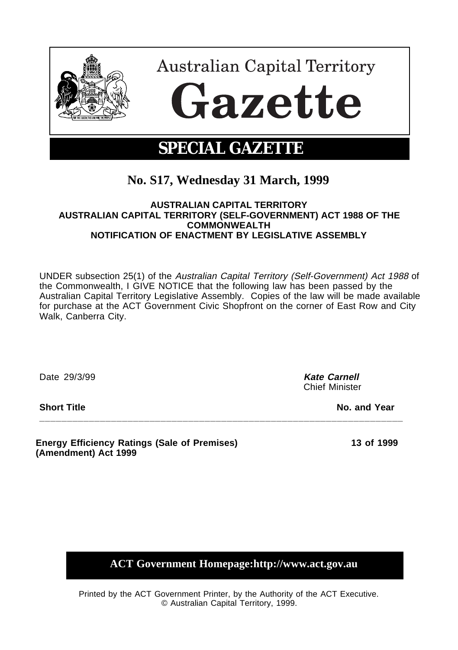

# **No. S17, Wednesday 31 March, 1999**

## **AUSTRALIAN CAPITAL TERRITORY AUSTRALIAN CAPITAL TERRITORY (SELF-GOVERNMENT) ACT 1988 OF THE COMMONWEALTH NOTIFICATION OF ENACTMENT BY LEGISLATIVE ASSEMBLY**

UNDER subsection 25(1) of the Australian Capital Territory (Self-Government) Act 1988 of the Commonwealth, I GIVE NOTICE that the following law has been passed by the Australian Capital Territory Legislative Assembly. Copies of the law will be made available for purchase at the ACT Government Civic Shopfront on the corner of East Row and City Walk, Canberra City.

**\_\_\_\_\_\_\_\_\_\_\_\_\_\_\_\_\_\_\_\_\_\_\_\_\_\_\_\_\_\_\_\_\_\_\_\_\_\_\_\_\_\_\_\_\_\_\_\_\_\_\_\_\_\_\_\_\_\_\_\_\_\_\_\_\_\_**

Date 29/3/99 **Kate Carnell**

Chief Minister

**Short Title No. and Year** 

**Energy Efficiency Ratings (Sale of Premises) (Amendment) Act 1999**

**13 of 1999**

**ACT Government Homepage:http://www.act.gov.au**

Printed by the ACT Government Printer, by the Authority of the ACT Executive. © Australian Capital Territory, 1999.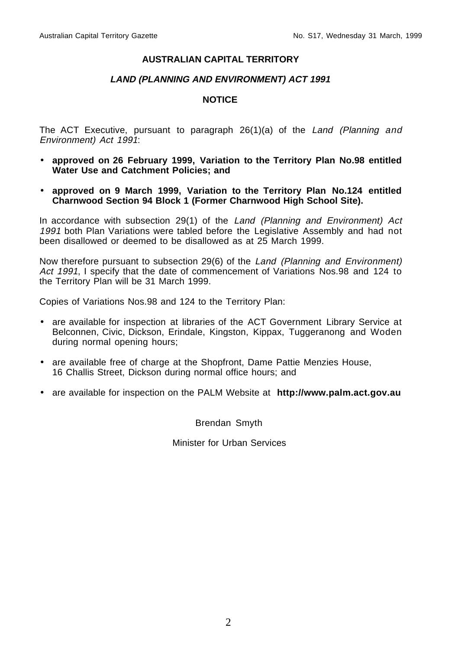## **AUSTRALIAN CAPITAL TERRITORY**

## **LAND (PLANNING AND ENVIRONMENT) ACT 1991**

## **NOTICE**

The ACT Executive, pursuant to paragraph  $26(1)(a)$  of the Land (Planning and Environment) Act 1991:

- **approved on 26 February 1999, Variation to the Territory Plan No.98 entitled Water Use and Catchment Policies; and**
- **approved on 9 March 1999, Variation to the Territory Plan No.124 entitled Charnwood Section 94 Block 1 (Former Charnwood High School Site).**

In accordance with subsection 29(1) of the Land (Planning and Environment) Act 1991 both Plan Variations were tabled before the Legislative Assembly and had not been disallowed or deemed to be disallowed as at 25 March 1999.

Now therefore pursuant to subsection 29(6) of the Land (Planning and Environment) Act 1991, I specify that the date of commencement of Variations Nos.98 and 124 to the Territory Plan will be 31 March 1999.

Copies of Variations Nos.98 and 124 to the Territory Plan:

- are available for inspection at libraries of the ACT Government Library Service at Belconnen, Civic, Dickson, Erindale, Kingston, Kippax, Tuggeranong and Woden during normal opening hours;
- are available free of charge at the Shopfront, Dame Pattie Menzies House, 16 Challis Street, Dickson during normal office hours; and
- are available for inspection on the PALM Website at **http://www.palm.act.gov.au**

Brendan Smyth

Minister for Urban Services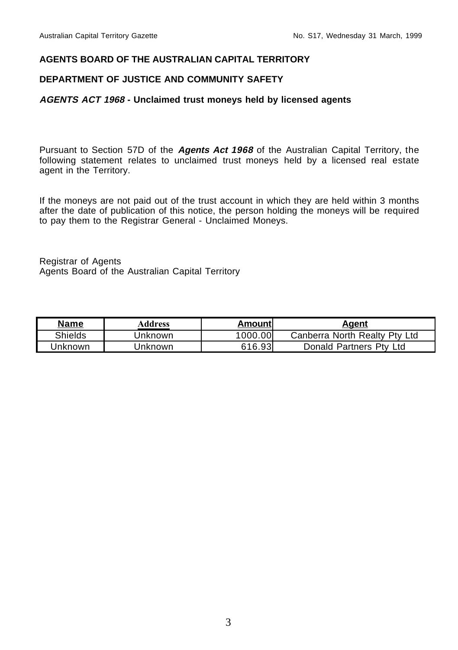## **AGENTS BOARD OF THE AUSTRALIAN CAPITAL TERRITORY**

## **DEPARTMENT OF JUSTICE AND COMMUNITY SAFETY**

### **AGENTS ACT 1968 - Unclaimed trust moneys held by licensed agents**

Pursuant to Section 57D of the **Agents Act 1968** of the Australian Capital Territory, the following statement relates to unclaimed trust moneys held by a licensed real estate agent in the Territory.

If the moneys are not paid out of the trust account in which they are held within 3 months after the date of publication of this notice, the person holding the moneys will be required to pay them to the Registrar General - Unclaimed Moneys.

Registrar of Agents Agents Board of the Australian Capital Territory

| <b>Name</b> | Address | Amountl | Agent                         |
|-------------|---------|---------|-------------------------------|
| Shields     | Jnknown | 1000.00 | Canberra North Realty Pty Ltd |
| Jnknown     | Jnknown | 616.93  | Donald Partners Pty Ltd       |